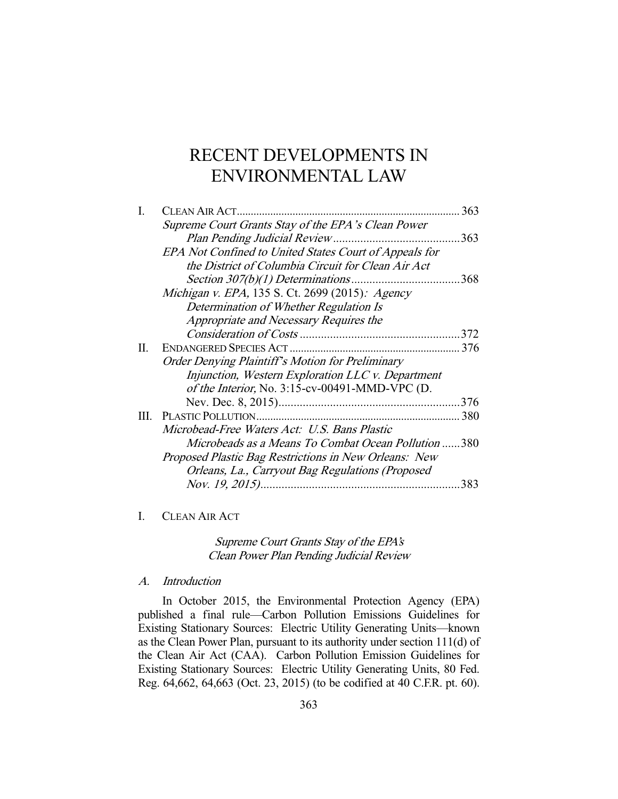# RECENT DEVELOPMENTS IN ENVIRONMENTAL LAW

|      | CLEAN AIR ACT                                          | 363  |
|------|--------------------------------------------------------|------|
|      | Supreme Court Grants Stay of the EPA's Clean Power     |      |
|      |                                                        | .363 |
|      | EPA Not Confined to United States Court of Appeals for |      |
|      | the District of Columbia Circuit for Clean Air Act     |      |
|      | Section 307(b)(1) Determinations                       | 368  |
|      | Michigan v. EPA, 135 S. Ct. 2699 (2015): Agency        |      |
|      | Determination of Whether Regulation Is                 |      |
|      | Appropriate and Necessary Requires the                 |      |
|      |                                                        | .372 |
| П.   |                                                        | 376  |
|      | Order Denying Plaintiff's Motion for Preliminary       |      |
|      | Injunction, Western Exploration LLC v. Department      |      |
|      | of the Interior, No. 3:15-cv-00491-MMD-VPC (D.         |      |
|      |                                                        | .376 |
| III. |                                                        | 380  |
|      | Microbead-Free Waters Act: U.S. Bans Plastic           |      |
|      | Microbeads as a Means To Combat Ocean Pollution 380    |      |
|      | Proposed Plastic Bag Restrictions in New Orleans: New  |      |
|      | Orleans, La., Carryout Bag Regulations (Proposed       |      |
|      |                                                        | 383  |

# I. CLEAN AIR ACT

# Supreme Court Grants Stay of the EPA's Clean Power Plan Pending Judicial Review

### A. Introduction

 In October 2015, the Environmental Protection Agency (EPA) published a final rule—Carbon Pollution Emissions Guidelines for Existing Stationary Sources: Electric Utility Generating Units—known as the Clean Power Plan, pursuant to its authority under section 111(d) of the Clean Air Act (CAA). Carbon Pollution Emission Guidelines for Existing Stationary Sources: Electric Utility Generating Units, 80 Fed. Reg. 64,662, 64,663 (Oct. 23, 2015) (to be codified at 40 C.F.R. pt. 60).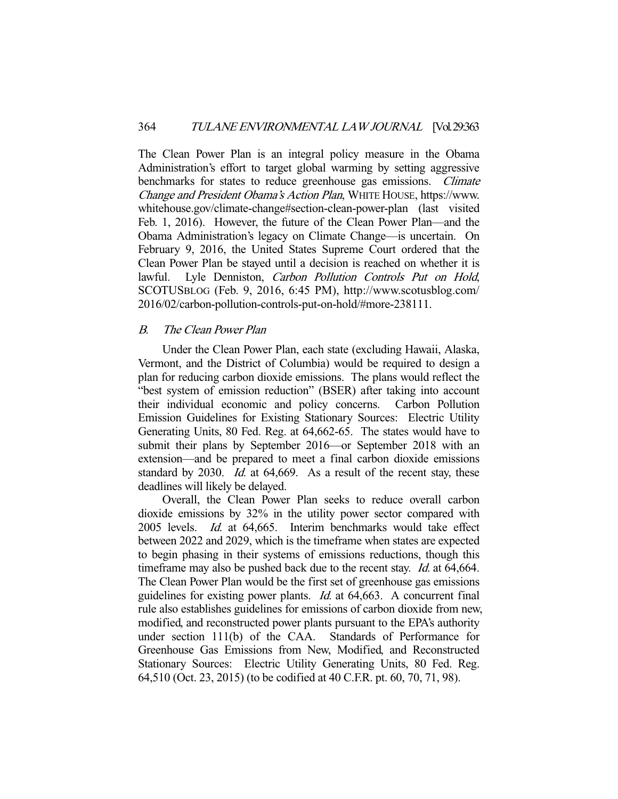The Clean Power Plan is an integral policy measure in the Obama Administration's effort to target global warming by setting aggressive benchmarks for states to reduce greenhouse gas emissions. Climate Change and President Obama's Action Plan, WHITE HOUSE, https://www. whitehouse.gov/climate-change#section-clean-power-plan (last visited Feb. 1, 2016). However, the future of the Clean Power Plan—and the Obama Administration's legacy on Climate Change—is uncertain. On February 9, 2016, the United States Supreme Court ordered that the Clean Power Plan be stayed until a decision is reached on whether it is lawful. Lyle Denniston, Carbon Pollution Controls Put on Hold, SCOTUSBLOG (Feb. 9, 2016, 6:45 PM), http://www.scotusblog.com/ 2016/02/carbon-pollution-controls-put-on-hold/#more-238111.

# B. The Clean Power Plan

 Under the Clean Power Plan, each state (excluding Hawaii, Alaska, Vermont, and the District of Columbia) would be required to design a plan for reducing carbon dioxide emissions. The plans would reflect the "best system of emission reduction" (BSER) after taking into account their individual economic and policy concerns. Carbon Pollution Emission Guidelines for Existing Stationary Sources: Electric Utility Generating Units, 80 Fed. Reg. at 64,662-65. The states would have to submit their plans by September 2016—or September 2018 with an extension—and be prepared to meet a final carbon dioxide emissions standard by 2030. *Id.* at 64,669. As a result of the recent stay, these deadlines will likely be delayed.

 Overall, the Clean Power Plan seeks to reduce overall carbon dioxide emissions by 32% in the utility power sector compared with 2005 levels. Id. at 64,665. Interim benchmarks would take effect between 2022 and 2029, which is the timeframe when states are expected to begin phasing in their systems of emissions reductions, though this timeframe may also be pushed back due to the recent stay. *Id.* at 64,664. The Clean Power Plan would be the first set of greenhouse gas emissions guidelines for existing power plants. Id. at 64,663. A concurrent final rule also establishes guidelines for emissions of carbon dioxide from new, modified, and reconstructed power plants pursuant to the EPA's authority under section 111(b) of the CAA. Standards of Performance for Greenhouse Gas Emissions from New, Modified, and Reconstructed Stationary Sources: Electric Utility Generating Units, 80 Fed. Reg. 64,510 (Oct. 23, 2015) (to be codified at 40 C.F.R. pt. 60, 70, 71, 98).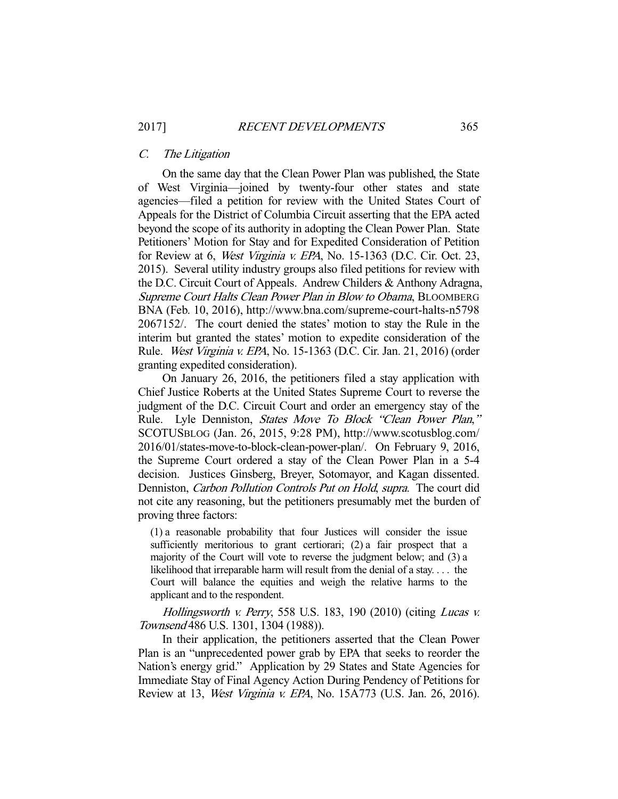#### C. The Litigation

 On the same day that the Clean Power Plan was published, the State of West Virginia—joined by twenty-four other states and state agencies—filed a petition for review with the United States Court of Appeals for the District of Columbia Circuit asserting that the EPA acted beyond the scope of its authority in adopting the Clean Power Plan. State Petitioners' Motion for Stay and for Expedited Consideration of Petition for Review at 6, West Virginia v. EPA, No. 15-1363 (D.C. Cir. Oct. 23, 2015). Several utility industry groups also filed petitions for review with the D.C. Circuit Court of Appeals. Andrew Childers & Anthony Adragna, Supreme Court Halts Clean Power Plan in Blow to Obama, BLOOMBERG BNA (Feb. 10, 2016), http://www.bna.com/supreme-court-halts-n5798 2067152/. The court denied the states' motion to stay the Rule in the interim but granted the states' motion to expedite consideration of the Rule. West Virginia v. EPA, No. 15-1363 (D.C. Cir. Jan. 21, 2016) (order granting expedited consideration).

 On January 26, 2016, the petitioners filed a stay application with Chief Justice Roberts at the United States Supreme Court to reverse the judgment of the D.C. Circuit Court and order an emergency stay of the Rule. Lyle Denniston, States Move To Block "Clean Power Plan," SCOTUSBLOG (Jan. 26, 2015, 9:28 PM), http://www.scotusblog.com/ 2016/01/states-move-to-block-clean-power-plan/. On February 9, 2016, the Supreme Court ordered a stay of the Clean Power Plan in a 5-4 decision. Justices Ginsberg, Breyer, Sotomayor, and Kagan dissented. Denniston, Carbon Pollution Controls Put on Hold, supra. The court did not cite any reasoning, but the petitioners presumably met the burden of proving three factors:

(1) a reasonable probability that four Justices will consider the issue sufficiently meritorious to grant certiorari; (2) a fair prospect that a majority of the Court will vote to reverse the judgment below; and (3) a likelihood that irreparable harm will result from the denial of a stay. . . . the Court will balance the equities and weigh the relative harms to the applicant and to the respondent.

Hollingsworth v. Perry, 558 U.S. 183, 190 (2010) (citing Lucas v. Townsend 486 U.S. 1301, 1304 (1988)).

 In their application, the petitioners asserted that the Clean Power Plan is an "unprecedented power grab by EPA that seeks to reorder the Nation's energy grid." Application by 29 States and State Agencies for Immediate Stay of Final Agency Action During Pendency of Petitions for Review at 13, West Virginia v. EPA, No. 15A773 (U.S. Jan. 26, 2016).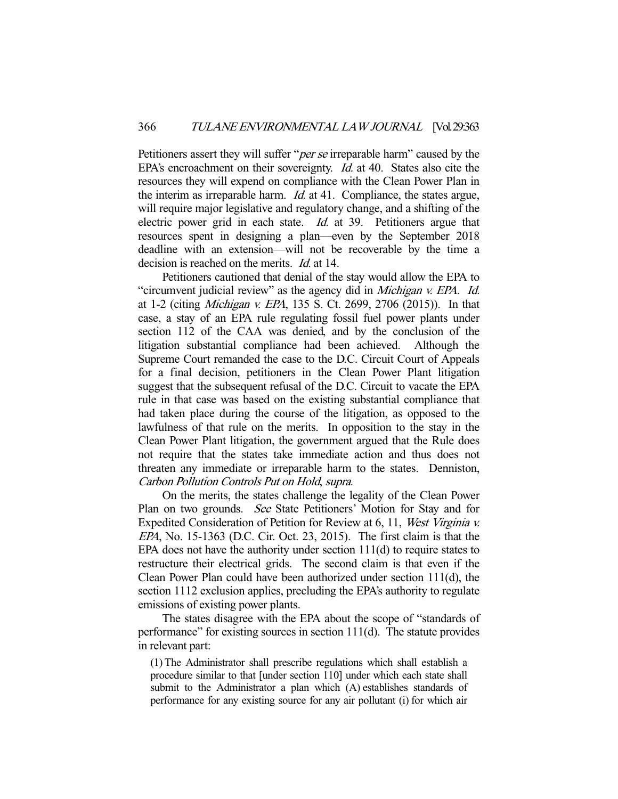Petitioners assert they will suffer "*per se* irreparable harm" caused by the EPA's encroachment on their sovereignty. *Id.* at 40. States also cite the resources they will expend on compliance with the Clean Power Plan in the interim as irreparable harm. Id. at 41. Compliance, the states argue, will require major legislative and regulatory change, and a shifting of the electric power grid in each state. *Id.* at 39. Petitioners argue that resources spent in designing a plan—even by the September 2018 deadline with an extension—will not be recoverable by the time a decision is reached on the merits. *Id.* at 14.

 Petitioners cautioned that denial of the stay would allow the EPA to "circumvent judicial review" as the agency did in Michigan v. EPA. Id. at 1-2 (citing Michigan v. EPA, 135 S. Ct. 2699, 2706 (2015)). In that case, a stay of an EPA rule regulating fossil fuel power plants under section 112 of the CAA was denied, and by the conclusion of the litigation substantial compliance had been achieved. Although the Supreme Court remanded the case to the D.C. Circuit Court of Appeals for a final decision, petitioners in the Clean Power Plant litigation suggest that the subsequent refusal of the D.C. Circuit to vacate the EPA rule in that case was based on the existing substantial compliance that had taken place during the course of the litigation, as opposed to the lawfulness of that rule on the merits. In opposition to the stay in the Clean Power Plant litigation, the government argued that the Rule does not require that the states take immediate action and thus does not threaten any immediate or irreparable harm to the states. Denniston, Carbon Pollution Controls Put on Hold, supra.

 On the merits, the states challenge the legality of the Clean Power Plan on two grounds. See State Petitioners' Motion for Stay and for Expedited Consideration of Petition for Review at 6, 11, West Virginia v. EPA, No. 15-1363 (D.C. Cir. Oct. 23, 2015). The first claim is that the EPA does not have the authority under section 111(d) to require states to restructure their electrical grids. The second claim is that even if the Clean Power Plan could have been authorized under section 111(d), the section 1112 exclusion applies, precluding the EPA's authority to regulate emissions of existing power plants.

 The states disagree with the EPA about the scope of "standards of performance" for existing sources in section 111(d). The statute provides in relevant part:

(1) The Administrator shall prescribe regulations which shall establish a procedure similar to that [under section 110] under which each state shall submit to the Administrator a plan which (A) establishes standards of performance for any existing source for any air pollutant (i) for which air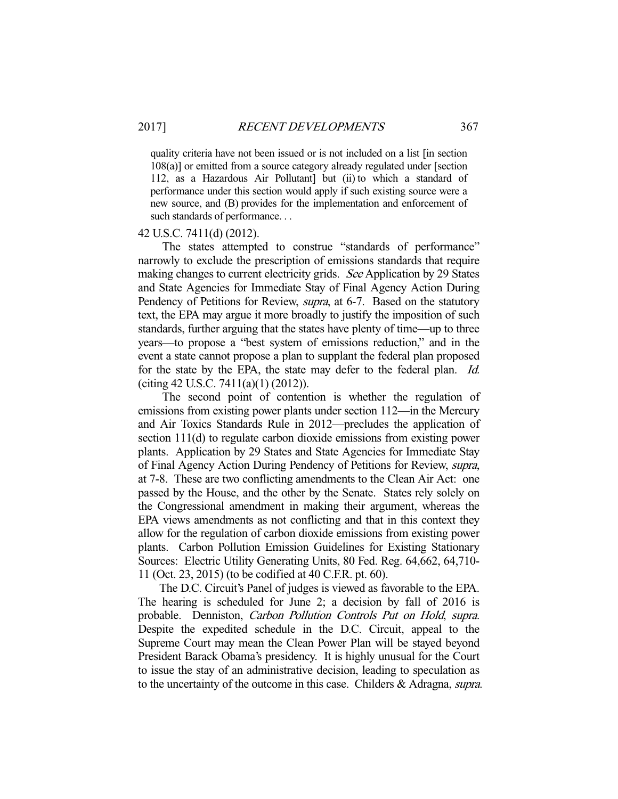quality criteria have not been issued or is not included on a list [in section 108(a)] or emitted from a source category already regulated under [section 112, as a Hazardous Air Pollutant] but (ii) to which a standard of performance under this section would apply if such existing source were a new source, and (B) provides for the implementation and enforcement of such standards of performance. . .

### 42 U.S.C. 7411(d) (2012).

 The states attempted to construe "standards of performance" narrowly to exclude the prescription of emissions standards that require making changes to current electricity grids. See Application by 29 States and State Agencies for Immediate Stay of Final Agency Action During Pendency of Petitions for Review, *supra*, at 6-7. Based on the statutory text, the EPA may argue it more broadly to justify the imposition of such standards, further arguing that the states have plenty of time—up to three years—to propose a "best system of emissions reduction," and in the event a state cannot propose a plan to supplant the federal plan proposed for the state by the EPA, the state may defer to the federal plan. Id. (citing 42 U.S.C. 7411(a)(1) (2012)).

 The second point of contention is whether the regulation of emissions from existing power plants under section 112—in the Mercury and Air Toxics Standards Rule in 2012—precludes the application of section 111(d) to regulate carbon dioxide emissions from existing power plants. Application by 29 States and State Agencies for Immediate Stay of Final Agency Action During Pendency of Petitions for Review, supra, at 7-8. These are two conflicting amendments to the Clean Air Act: one passed by the House, and the other by the Senate. States rely solely on the Congressional amendment in making their argument, whereas the EPA views amendments as not conflicting and that in this context they allow for the regulation of carbon dioxide emissions from existing power plants. Carbon Pollution Emission Guidelines for Existing Stationary Sources: Electric Utility Generating Units, 80 Fed. Reg. 64,662, 64,710- 11 (Oct. 23, 2015) (to be codified at 40 C.F.R. pt. 60).

 The D.C. Circuit's Panel of judges is viewed as favorable to the EPA. The hearing is scheduled for June 2; a decision by fall of 2016 is probable. Denniston, Carbon Pollution Controls Put on Hold, supra. Despite the expedited schedule in the D.C. Circuit, appeal to the Supreme Court may mean the Clean Power Plan will be stayed beyond President Barack Obama's presidency. It is highly unusual for the Court to issue the stay of an administrative decision, leading to speculation as to the uncertainty of the outcome in this case. Childers & Adragna, supra.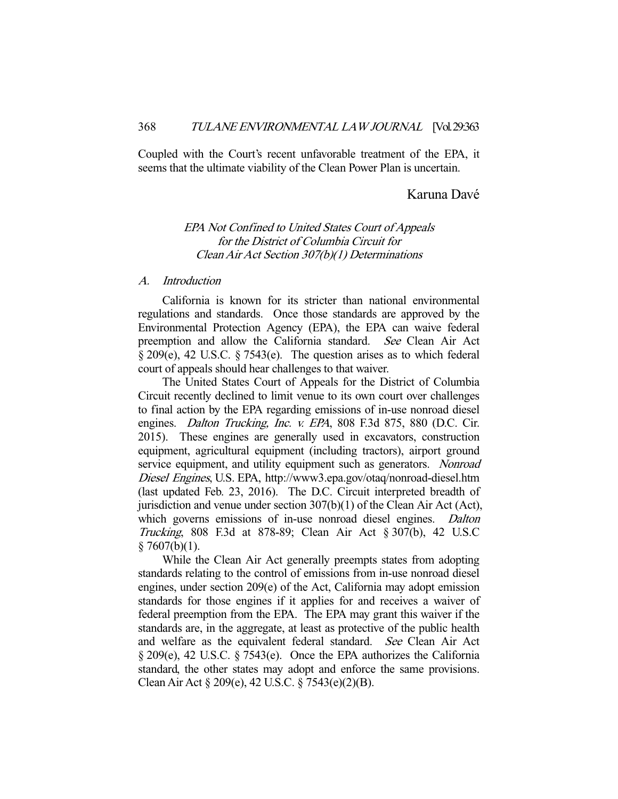Coupled with the Court's recent unfavorable treatment of the EPA, it seems that the ultimate viability of the Clean Power Plan is uncertain.

# Karuna Davé

# EPA Not Confined to United States Court of Appeals for the District of Columbia Circuit for Clean Air Act Section 307(b)(1) Determinations

#### A. Introduction

 California is known for its stricter than national environmental regulations and standards. Once those standards are approved by the Environmental Protection Agency (EPA), the EPA can waive federal preemption and allow the California standard. See Clean Air Act § 209(e), 42 U.S.C. § 7543(e). The question arises as to which federal court of appeals should hear challenges to that waiver.

 The United States Court of Appeals for the District of Columbia Circuit recently declined to limit venue to its own court over challenges to final action by the EPA regarding emissions of in-use nonroad diesel engines. *Dalton Trucking, Inc. v. EPA*, 808 F.3d 875, 880 (D.C. Cir. 2015). These engines are generally used in excavators, construction equipment, agricultural equipment (including tractors), airport ground service equipment, and utility equipment such as generators. Nonroad Diesel Engines, U.S. EPA, http://www3.epa.gov/otaq/nonroad-diesel.htm (last updated Feb. 23, 2016). The D.C. Circuit interpreted breadth of jurisdiction and venue under section 307(b)(1) of the Clean Air Act (Act), which governs emissions of in-use nonroad diesel engines. Dalton Trucking, 808 F.3d at 878-89; Clean Air Act § 307(b), 42 U.S.C  $§ 7607(b)(1).$ 

 While the Clean Air Act generally preempts states from adopting standards relating to the control of emissions from in-use nonroad diesel engines, under section 209(e) of the Act, California may adopt emission standards for those engines if it applies for and receives a waiver of federal preemption from the EPA. The EPA may grant this waiver if the standards are, in the aggregate, at least as protective of the public health and welfare as the equivalent federal standard. See Clean Air Act § 209(e), 42 U.S.C. § 7543(e). Once the EPA authorizes the California standard, the other states may adopt and enforce the same provisions. Clean Air Act § 209(e), 42 U.S.C. § 7543(e)(2)(B).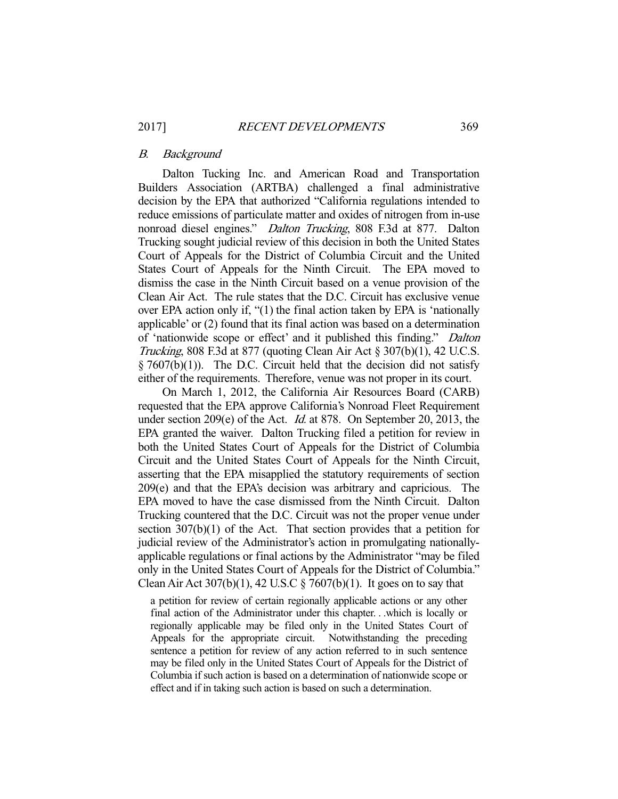#### B. Background

 Dalton Tucking Inc. and American Road and Transportation Builders Association (ARTBA) challenged a final administrative decision by the EPA that authorized "California regulations intended to reduce emissions of particulate matter and oxides of nitrogen from in-use nonroad diesel engines." Dalton Trucking, 808 F.3d at 877. Dalton Trucking sought judicial review of this decision in both the United States Court of Appeals for the District of Columbia Circuit and the United States Court of Appeals for the Ninth Circuit. The EPA moved to dismiss the case in the Ninth Circuit based on a venue provision of the Clean Air Act. The rule states that the D.C. Circuit has exclusive venue over EPA action only if, "(1) the final action taken by EPA is 'nationally applicable' or (2) found that its final action was based on a determination of 'nationwide scope or effect' and it published this finding." Dalton Trucking, 808 F.3d at 877 (quoting Clean Air Act § 307(b)(1), 42 U.C.S.  $\S$  7607(b)(1)). The D.C. Circuit held that the decision did not satisfy either of the requirements. Therefore, venue was not proper in its court.

 On March 1, 2012, the California Air Resources Board (CARB) requested that the EPA approve California's Nonroad Fleet Requirement under section 209(e) of the Act. Id. at 878. On September 20, 2013, the EPA granted the waiver. Dalton Trucking filed a petition for review in both the United States Court of Appeals for the District of Columbia Circuit and the United States Court of Appeals for the Ninth Circuit, asserting that the EPA misapplied the statutory requirements of section 209(e) and that the EPA's decision was arbitrary and capricious. The EPA moved to have the case dismissed from the Ninth Circuit. Dalton Trucking countered that the D.C. Circuit was not the proper venue under section 307(b)(1) of the Act. That section provides that a petition for judicial review of the Administrator's action in promulgating nationallyapplicable regulations or final actions by the Administrator "may be filed only in the United States Court of Appeals for the District of Columbia." Clean Air Act  $307(b)(1)$ , 42 U.S.C §  $7607(b)(1)$ . It goes on to say that

a petition for review of certain regionally applicable actions or any other final action of the Administrator under this chapter. . .which is locally or regionally applicable may be filed only in the United States Court of Appeals for the appropriate circuit. Notwithstanding the preceding sentence a petition for review of any action referred to in such sentence may be filed only in the United States Court of Appeals for the District of Columbia if such action is based on a determination of nationwide scope or effect and if in taking such action is based on such a determination.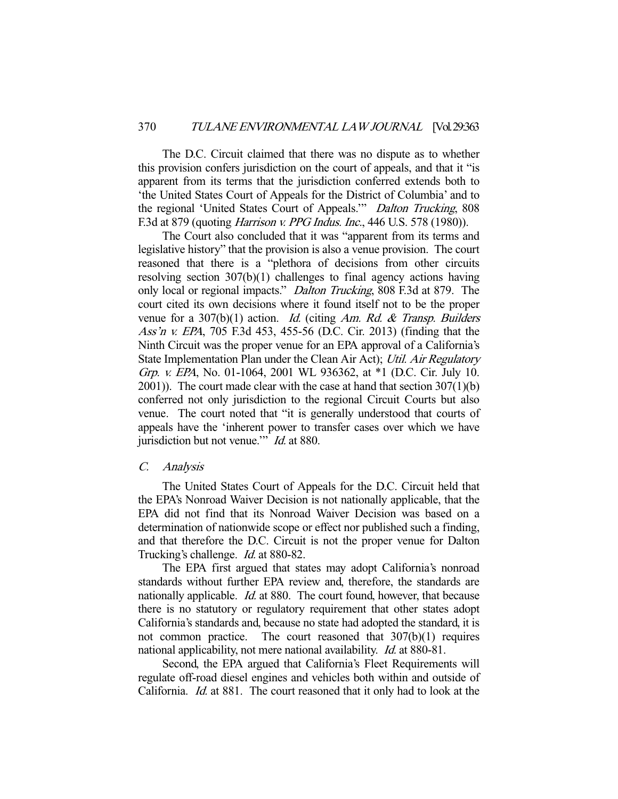The D.C. Circuit claimed that there was no dispute as to whether this provision confers jurisdiction on the court of appeals, and that it "is apparent from its terms that the jurisdiction conferred extends both to 'the United States Court of Appeals for the District of Columbia' and to the regional 'United States Court of Appeals.'" Dalton Trucking, 808 F.3d at 879 (quoting Harrison v. PPG Indus. Inc., 446 U.S. 578 (1980)).

 The Court also concluded that it was "apparent from its terms and legislative history" that the provision is also a venue provision. The court reasoned that there is a "plethora of decisions from other circuits resolving section 307(b)(1) challenges to final agency actions having only local or regional impacts." Dalton Trucking, 808 F.3d at 879. The court cited its own decisions where it found itself not to be the proper venue for a  $307(b)(1)$  action. *Id.* (citing Am. Rd. & Transp. Builders Ass'n v. EPA, 705 F.3d 453, 455-56 (D.C. Cir. 2013) (finding that the Ninth Circuit was the proper venue for an EPA approval of a California's State Implementation Plan under the Clean Air Act); Util. Air Regulatory Grp. v. EPA, No. 01-1064, 2001 WL 936362, at \*1 (D.C. Cir. July 10.  $2001$ ). The court made clear with the case at hand that section  $307(1)(b)$ conferred not only jurisdiction to the regional Circuit Courts but also venue. The court noted that "it is generally understood that courts of appeals have the 'inherent power to transfer cases over which we have jurisdiction but not venue." *Id.* at 880.

#### C. Analysis

 The United States Court of Appeals for the D.C. Circuit held that the EPA's Nonroad Waiver Decision is not nationally applicable, that the EPA did not find that its Nonroad Waiver Decision was based on a determination of nationwide scope or effect nor published such a finding, and that therefore the D.C. Circuit is not the proper venue for Dalton Trucking's challenge. *Id.* at 880-82.

 The EPA first argued that states may adopt California's nonroad standards without further EPA review and, therefore, the standards are nationally applicable. *Id.* at 880. The court found, however, that because there is no statutory or regulatory requirement that other states adopt California's standards and, because no state had adopted the standard, it is not common practice. The court reasoned that 307(b)(1) requires national applicability, not mere national availability. Id. at 880-81.

 Second, the EPA argued that California's Fleet Requirements will regulate off-road diesel engines and vehicles both within and outside of California. Id. at 881. The court reasoned that it only had to look at the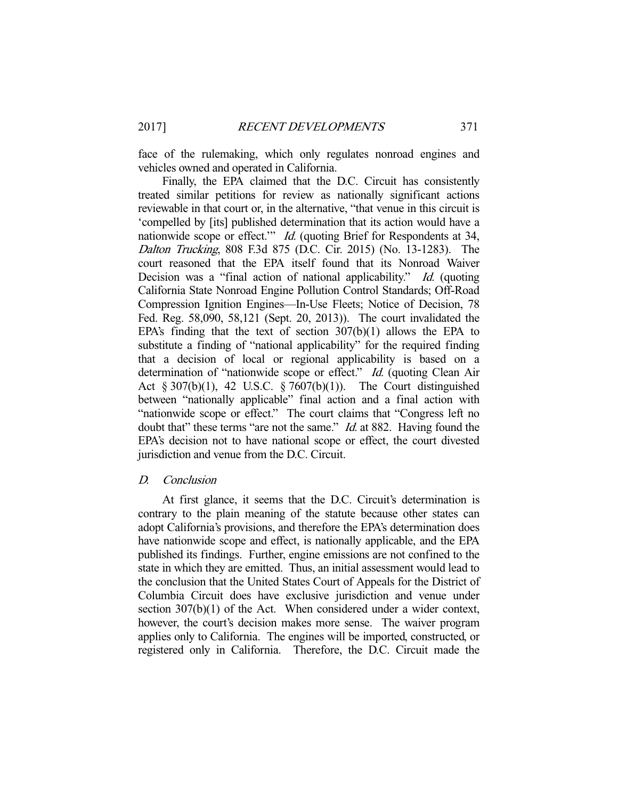face of the rulemaking, which only regulates nonroad engines and vehicles owned and operated in California.

 Finally, the EPA claimed that the D.C. Circuit has consistently treated similar petitions for review as nationally significant actions reviewable in that court or, in the alternative, "that venue in this circuit is 'compelled by [its] published determination that its action would have a nationwide scope or effect." *Id.* (quoting Brief for Respondents at 34, Dalton Trucking, 808 F.3d 875 (D.C. Cir. 2015) (No. 13-1283). The court reasoned that the EPA itself found that its Nonroad Waiver Decision was a "final action of national applicability." Id. (quoting California State Nonroad Engine Pollution Control Standards; Off-Road Compression Ignition Engines—In-Use Fleets; Notice of Decision, 78 Fed. Reg. 58,090, 58,121 (Sept. 20, 2013)). The court invalidated the EPA's finding that the text of section 307(b)(1) allows the EPA to substitute a finding of "national applicability" for the required finding that a decision of local or regional applicability is based on a determination of "nationwide scope or effect." *Id.* (quoting Clean Air Act § 307(b)(1), 42 U.S.C. § 7607(b)(1)). The Court distinguished between "nationally applicable" final action and a final action with "nationwide scope or effect." The court claims that "Congress left no doubt that" these terms "are not the same." *Id.* at 882. Having found the EPA's decision not to have national scope or effect, the court divested jurisdiction and venue from the D.C. Circuit.

#### D. Conclusion

 At first glance, it seems that the D.C. Circuit's determination is contrary to the plain meaning of the statute because other states can adopt California's provisions, and therefore the EPA's determination does have nationwide scope and effect, is nationally applicable, and the EPA published its findings. Further, engine emissions are not confined to the state in which they are emitted. Thus, an initial assessment would lead to the conclusion that the United States Court of Appeals for the District of Columbia Circuit does have exclusive jurisdiction and venue under section 307(b)(1) of the Act. When considered under a wider context, however, the court's decision makes more sense. The waiver program applies only to California. The engines will be imported, constructed, or registered only in California. Therefore, the D.C. Circuit made the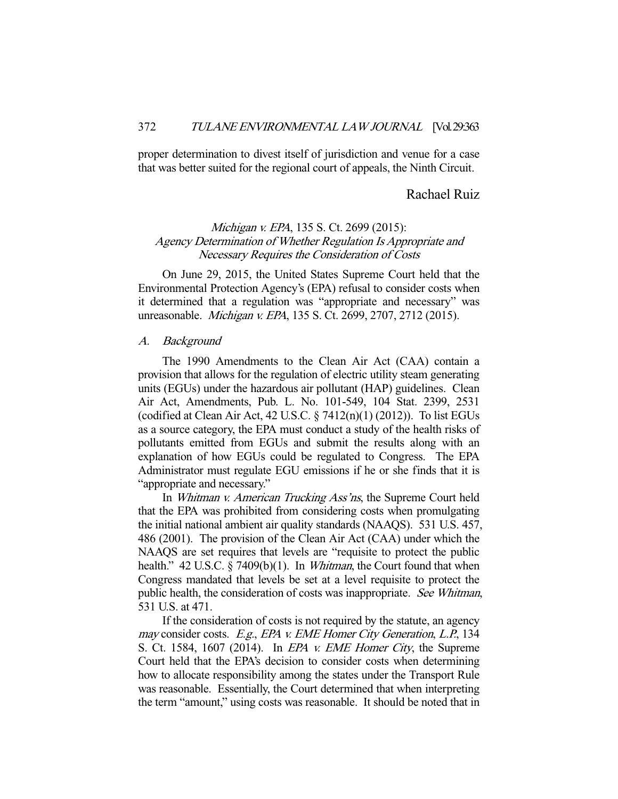proper determination to divest itself of jurisdiction and venue for a case that was better suited for the regional court of appeals, the Ninth Circuit.

# Rachael Ruiz

# Michigan v. EPA, 135 S. Ct. 2699 (2015): Agency Determination of Whether Regulation Is Appropriate and Necessary Requires the Consideration of Costs

 On June 29, 2015, the United States Supreme Court held that the Environmental Protection Agency's (EPA) refusal to consider costs when it determined that a regulation was "appropriate and necessary" was unreasonable. Michigan v. EPA, 135 S. Ct. 2699, 2707, 2712 (2015).

# A. Background

 The 1990 Amendments to the Clean Air Act (CAA) contain a provision that allows for the regulation of electric utility steam generating units (EGUs) under the hazardous air pollutant (HAP) guidelines. Clean Air Act, Amendments, Pub. L. No. 101-549, 104 Stat. 2399, 2531 (codified at Clean Air Act, 42 U.S.C. § 7412(n)(1) (2012)). To list EGUs as a source category, the EPA must conduct a study of the health risks of pollutants emitted from EGUs and submit the results along with an explanation of how EGUs could be regulated to Congress. The EPA Administrator must regulate EGU emissions if he or she finds that it is "appropriate and necessary."

In Whitman v. American Trucking Ass'ns, the Supreme Court held that the EPA was prohibited from considering costs when promulgating the initial national ambient air quality standards (NAAQS). 531 U.S. 457, 486 (2001). The provision of the Clean Air Act (CAA) under which the NAAQS are set requires that levels are "requisite to protect the public health." 42 U.S.C. § 7409(b)(1). In Whitman, the Court found that when Congress mandated that levels be set at a level requisite to protect the public health, the consideration of costs was inappropriate. See Whitman, 531 U.S. at 471.

 If the consideration of costs is not required by the statute, an agency may consider costs. E.g., EPA v. EME Homer City Generation, L.P., 134 S. Ct. 1584, 1607 (2014). In *EPA v. EME Homer City*, the Supreme Court held that the EPA's decision to consider costs when determining how to allocate responsibility among the states under the Transport Rule was reasonable. Essentially, the Court determined that when interpreting the term "amount," using costs was reasonable. It should be noted that in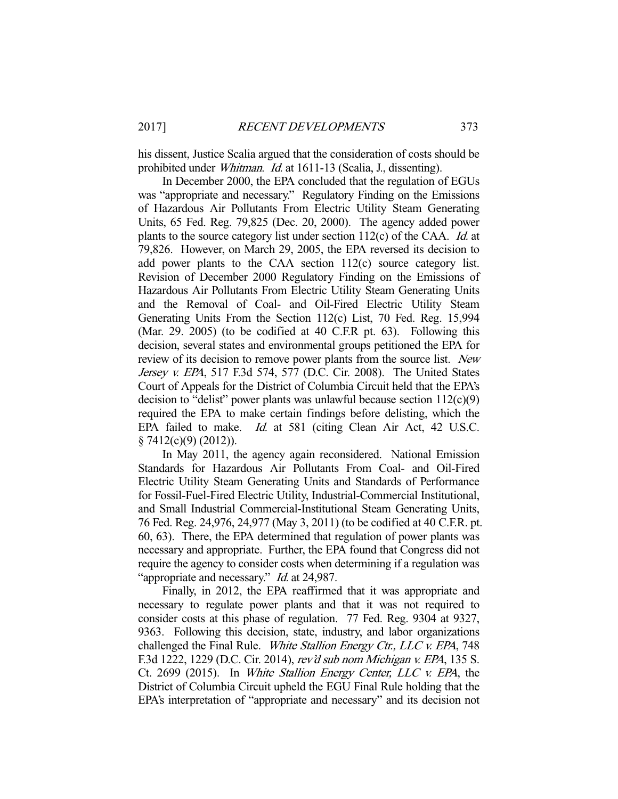his dissent, Justice Scalia argued that the consideration of costs should be prohibited under Whitman. Id. at 1611-13 (Scalia, J., dissenting).

 In December 2000, the EPA concluded that the regulation of EGUs was "appropriate and necessary." Regulatory Finding on the Emissions of Hazardous Air Pollutants From Electric Utility Steam Generating Units, 65 Fed. Reg. 79,825 (Dec. 20, 2000). The agency added power plants to the source category list under section  $112(c)$  of the CAA. *Id.* at 79,826. However, on March 29, 2005, the EPA reversed its decision to add power plants to the CAA section 112(c) source category list. Revision of December 2000 Regulatory Finding on the Emissions of Hazardous Air Pollutants From Electric Utility Steam Generating Units and the Removal of Coal- and Oil-Fired Electric Utility Steam Generating Units From the Section 112(c) List, 70 Fed. Reg. 15,994 (Mar. 29. 2005) (to be codified at 40 C.F.R pt. 63). Following this decision, several states and environmental groups petitioned the EPA for review of its decision to remove power plants from the source list. New Jersey v. EPA, 517 F.3d 574, 577 (D.C. Cir. 2008). The United States Court of Appeals for the District of Columbia Circuit held that the EPA's decision to "delist" power plants was unlawful because section  $112(c)(9)$ required the EPA to make certain findings before delisting, which the EPA failed to make. *Id.* at 581 (citing Clean Air Act, 42 U.S.C.  $§ 7412(c)(9) (2012)$ .

 In May 2011, the agency again reconsidered. National Emission Standards for Hazardous Air Pollutants From Coal- and Oil-Fired Electric Utility Steam Generating Units and Standards of Performance for Fossil-Fuel-Fired Electric Utility, Industrial-Commercial Institutional, and Small Industrial Commercial-Institutional Steam Generating Units, 76 Fed. Reg. 24,976, 24,977 (May 3, 2011) (to be codified at 40 C.F.R. pt. 60, 63). There, the EPA determined that regulation of power plants was necessary and appropriate. Further, the EPA found that Congress did not require the agency to consider costs when determining if a regulation was "appropriate and necessary." *Id.* at 24,987.

 Finally, in 2012, the EPA reaffirmed that it was appropriate and necessary to regulate power plants and that it was not required to consider costs at this phase of regulation. 77 Fed. Reg. 9304 at 9327, 9363. Following this decision, state, industry, and labor organizations challenged the Final Rule. White Stallion Energy Ctr., LLC v. EPA, 748 F.3d 1222, 1229 (D.C. Cir. 2014), rev'd sub nom Michigan v. EPA, 135 S. Ct. 2699 (2015). In White Stallion Energy Center, LLC v. EPA, the District of Columbia Circuit upheld the EGU Final Rule holding that the EPA's interpretation of "appropriate and necessary" and its decision not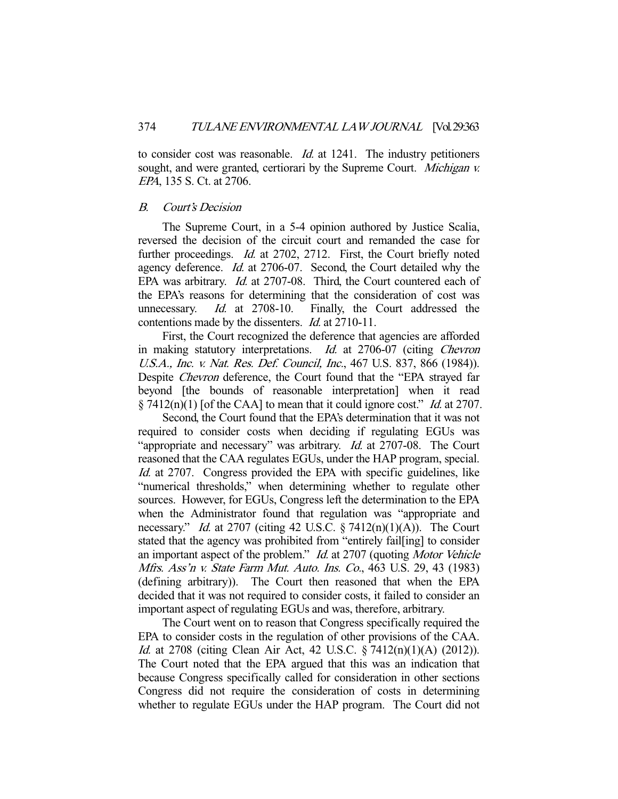to consider cost was reasonable. *Id.* at 1241. The industry petitioners sought, and were granted, certiorari by the Supreme Court. *Michigan v.* EPA, 135 S. Ct. at 2706.

#### B. Court's Decision

 The Supreme Court, in a 5-4 opinion authored by Justice Scalia, reversed the decision of the circuit court and remanded the case for further proceedings. *Id.* at 2702, 2712. First, the Court briefly noted agency deference. Id. at 2706-07. Second, the Court detailed why the EPA was arbitrary. *Id.* at 2707-08. Third, the Court countered each of the EPA's reasons for determining that the consideration of cost was unnecessary. *Id.* at 2708-10. Finally, the Court addressed the contentions made by the dissenters. Id. at 2710-11.

 First, the Court recognized the deference that agencies are afforded in making statutory interpretations. Id. at 2706-07 (citing Chevron U.S.A., Inc. v. Nat. Res. Def. Council, Inc., 467 U.S. 837, 866 (1984)). Despite Chevron deference, the Court found that the "EPA strayed far beyond [the bounds of reasonable interpretation] when it read § 7412(n)(1) [of the CAA] to mean that it could ignore cost." *Id.* at 2707.

 Second, the Court found that the EPA's determination that it was not required to consider costs when deciding if regulating EGUs was "appropriate and necessary" was arbitrary. *Id.* at 2707-08. The Court reasoned that the CAA regulates EGUs, under the HAP program, special. Id. at 2707. Congress provided the EPA with specific guidelines, like "numerical thresholds," when determining whether to regulate other sources. However, for EGUs, Congress left the determination to the EPA when the Administrator found that regulation was "appropriate and necessary." *Id.* at 2707 (citing 42 U.S.C.  $\S$  7412(n)(1)(A)). The Court stated that the agency was prohibited from "entirely fail[ing] to consider an important aspect of the problem." *Id.* at 2707 (quoting *Motor Vehicle* Mfrs. Ass'n v. State Farm Mut. Auto. Ins. Co., 463 U.S. 29, 43 (1983) (defining arbitrary)). The Court then reasoned that when the EPA decided that it was not required to consider costs, it failed to consider an important aspect of regulating EGUs and was, therefore, arbitrary.

 The Court went on to reason that Congress specifically required the EPA to consider costs in the regulation of other provisions of the CAA. Id. at 2708 (citing Clean Air Act, 42 U.S.C. § 7412(n)(1)(A) (2012)). The Court noted that the EPA argued that this was an indication that because Congress specifically called for consideration in other sections Congress did not require the consideration of costs in determining whether to regulate EGUs under the HAP program. The Court did not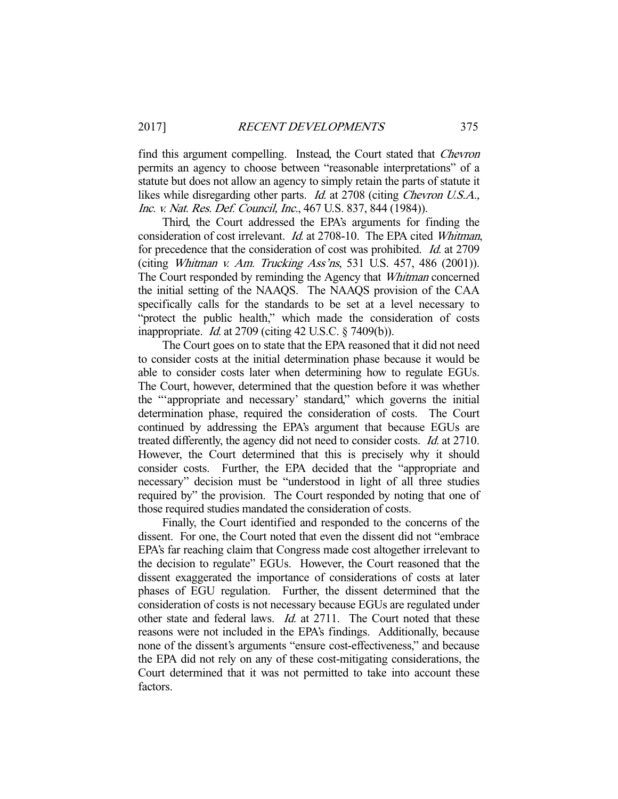find this argument compelling. Instead, the Court stated that *Chevron* permits an agency to choose between "reasonable interpretations" of a statute but does not allow an agency to simply retain the parts of statute it likes while disregarding other parts. *Id.* at 2708 (citing *Chevron U.S.A.*, Inc. v. Nat. Res. Def. Council, Inc., 467 U.S. 837, 844 (1984)).

 Third, the Court addressed the EPA's arguments for finding the consideration of cost irrelevant. Id. at 2708-10. The EPA cited Whitman, for precedence that the consideration of cost was prohibited. Id. at 2709 (citing Whitman v. Am. Trucking Ass'ns, 531 U.S. 457, 486 (2001)). The Court responded by reminding the Agency that Whitman concerned the initial setting of the NAAQS. The NAAQS provision of the CAA specifically calls for the standards to be set at a level necessary to "protect the public health," which made the consideration of costs inappropriate. Id. at 2709 (citing 42 U.S.C. § 7409(b)).

 The Court goes on to state that the EPA reasoned that it did not need to consider costs at the initial determination phase because it would be able to consider costs later when determining how to regulate EGUs. The Court, however, determined that the question before it was whether the "'appropriate and necessary' standard," which governs the initial determination phase, required the consideration of costs. The Court continued by addressing the EPA's argument that because EGUs are treated differently, the agency did not need to consider costs. Id. at 2710. However, the Court determined that this is precisely why it should consider costs. Further, the EPA decided that the "appropriate and necessary" decision must be "understood in light of all three studies required by" the provision. The Court responded by noting that one of those required studies mandated the consideration of costs.

 Finally, the Court identified and responded to the concerns of the dissent. For one, the Court noted that even the dissent did not "embrace EPA's far reaching claim that Congress made cost altogether irrelevant to the decision to regulate" EGUs. However, the Court reasoned that the dissent exaggerated the importance of considerations of costs at later phases of EGU regulation. Further, the dissent determined that the consideration of costs is not necessary because EGUs are regulated under other state and federal laws. Id. at 2711. The Court noted that these reasons were not included in the EPA's findings. Additionally, because none of the dissent's arguments "ensure cost-effectiveness," and because the EPA did not rely on any of these cost-mitigating considerations, the Court determined that it was not permitted to take into account these factors.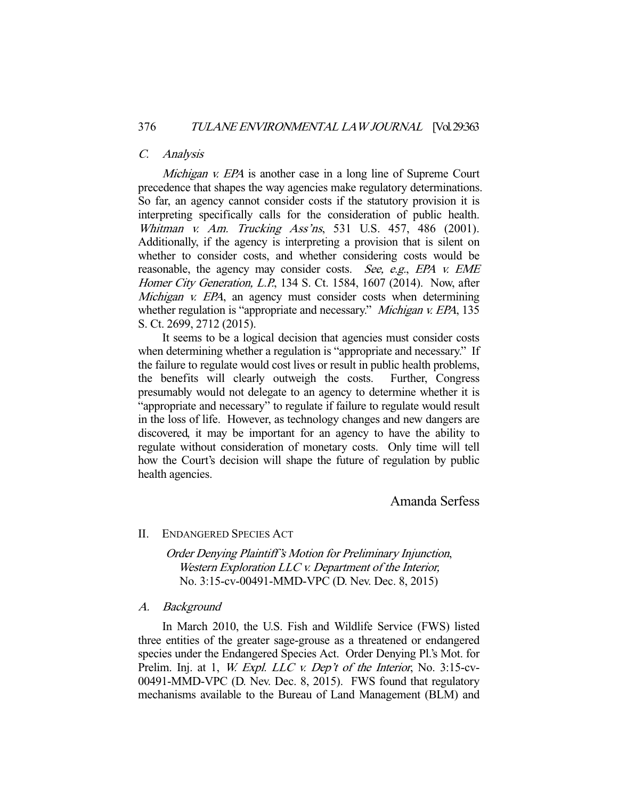#### C. Analysis

Michigan v. EPA is another case in a long line of Supreme Court precedence that shapes the way agencies make regulatory determinations. So far, an agency cannot consider costs if the statutory provision it is interpreting specifically calls for the consideration of public health. Whitman v. Am. Trucking Ass'ns, 531 U.S. 457, 486 (2001). Additionally, if the agency is interpreting a provision that is silent on whether to consider costs, and whether considering costs would be reasonable, the agency may consider costs. See, e.g., EPA v. EME Homer City Generation, L.P., 134 S. Ct. 1584, 1607 (2014). Now, after Michigan v. EPA, an agency must consider costs when determining whether regulation is "appropriate and necessary." Michigan v. EPA, 135 S. Ct. 2699, 2712 (2015).

 It seems to be a logical decision that agencies must consider costs when determining whether a regulation is "appropriate and necessary." If the failure to regulate would cost lives or result in public health problems, the benefits will clearly outweigh the costs. Further, Congress presumably would not delegate to an agency to determine whether it is "appropriate and necessary" to regulate if failure to regulate would result in the loss of life. However, as technology changes and new dangers are discovered, it may be important for an agency to have the ability to regulate without consideration of monetary costs. Only time will tell how the Court's decision will shape the future of regulation by public health agencies.

# Amanda Serfess

#### II. ENDANGERED SPECIES ACT

Order Denying Plaintiff's Motion for Preliminary Injunction, Western Exploration LLC v. Department of the Interior, No. 3:15-cv-00491-MMD-VPC (D. Nev. Dec. 8, 2015)

#### A. Background

 In March 2010, the U.S. Fish and Wildlife Service (FWS) listed three entities of the greater sage-grouse as a threatened or endangered species under the Endangered Species Act. Order Denying Pl.'s Mot. for Prelim. Inj. at 1, W. Expl. LLC v. Dep't of the Interior, No. 3:15-cv-00491-MMD-VPC (D. Nev. Dec. 8, 2015). FWS found that regulatory mechanisms available to the Bureau of Land Management (BLM) and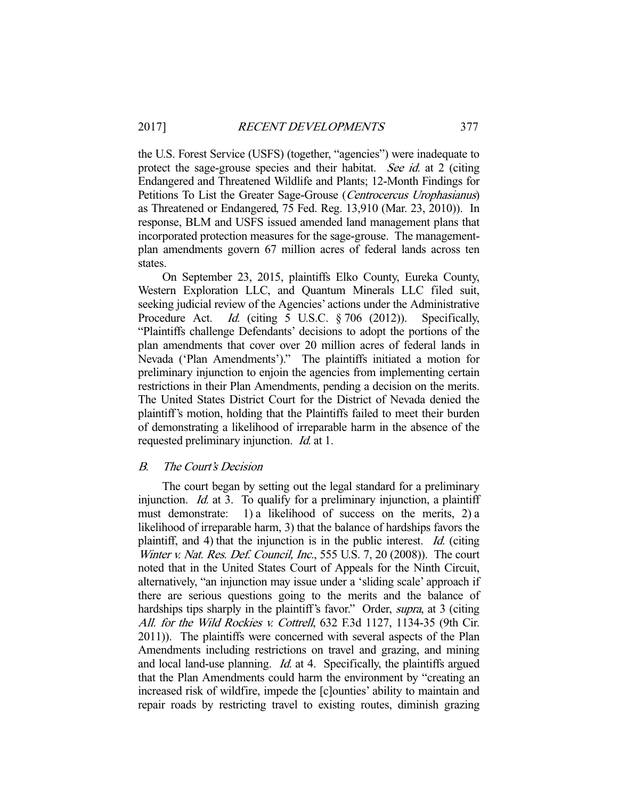the U.S. Forest Service (USFS) (together, "agencies") were inadequate to protect the sage-grouse species and their habitat. See id. at 2 (citing Endangered and Threatened Wildlife and Plants; 12-Month Findings for Petitions To List the Greater Sage-Grouse (Centrocercus Urophasianus) as Threatened or Endangered, 75 Fed. Reg. 13,910 (Mar. 23, 2010)). In response, BLM and USFS issued amended land management plans that incorporated protection measures for the sage-grouse. The managementplan amendments govern 67 million acres of federal lands across ten states.

 On September 23, 2015, plaintiffs Elko County, Eureka County, Western Exploration LLC, and Quantum Minerals LLC filed suit, seeking judicial review of the Agencies' actions under the Administrative Procedure Act. *Id.* (citing 5 U.S.C. § 706 (2012)). Specifically, "Plaintiffs challenge Defendants' decisions to adopt the portions of the plan amendments that cover over 20 million acres of federal lands in Nevada ('Plan Amendments')." The plaintiffs initiated a motion for preliminary injunction to enjoin the agencies from implementing certain restrictions in their Plan Amendments, pending a decision on the merits. The United States District Court for the District of Nevada denied the plaintiff's motion, holding that the Plaintiffs failed to meet their burden of demonstrating a likelihood of irreparable harm in the absence of the requested preliminary injunction. *Id.* at 1.

#### B. The Court's Decision

 The court began by setting out the legal standard for a preliminary injunction. *Id.* at 3. To qualify for a preliminary injunction, a plaintiff must demonstrate: 1) a likelihood of success on the merits, 2) a likelihood of irreparable harm, 3) that the balance of hardships favors the plaintiff, and 4) that the injunction is in the public interest. Id. (citing Winter v. Nat. Res. Def. Council, Inc., 555 U.S. 7, 20 (2008)). The court noted that in the United States Court of Appeals for the Ninth Circuit, alternatively, "an injunction may issue under a 'sliding scale' approach if there are serious questions going to the merits and the balance of hardships tips sharply in the plaintiff's favor." Order, *supra*, at 3 (citing All. for the Wild Rockies v. Cottrell, 632 F.3d 1127, 1134-35 (9th Cir. 2011)). The plaintiffs were concerned with several aspects of the Plan Amendments including restrictions on travel and grazing, and mining and local land-use planning.  $Id$  at 4. Specifically, the plaintiffs argued that the Plan Amendments could harm the environment by "creating an increased risk of wildfire, impede the [c]ounties' ability to maintain and repair roads by restricting travel to existing routes, diminish grazing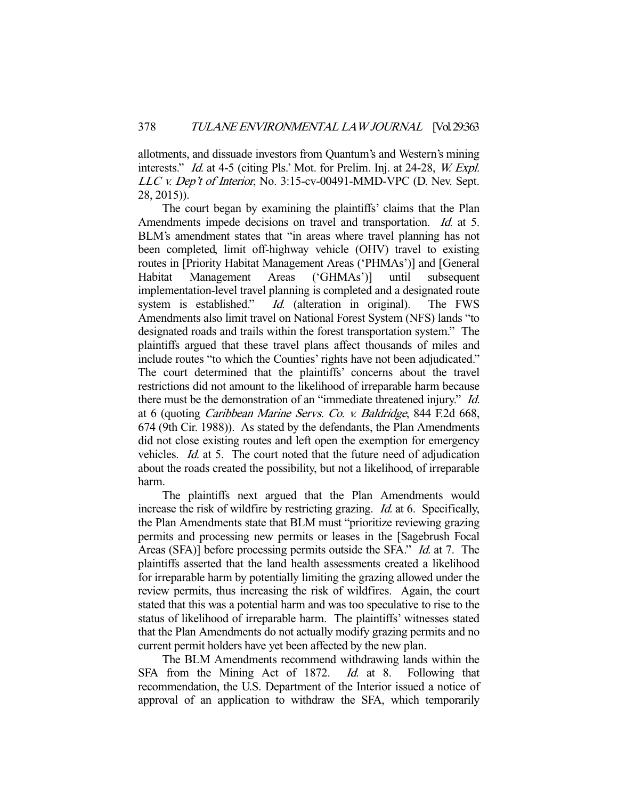allotments, and dissuade investors from Quantum's and Western's mining interests." Id. at 4-5 (citing Pls.' Mot. for Prelim. Inj. at 24-28, W. Expl. LLC v. Dep't of Interior, No. 3:15-cv-00491-MMD-VPC (D. Nev. Sept. 28, 2015)).

 The court began by examining the plaintiffs' claims that the Plan Amendments impede decisions on travel and transportation. Id. at 5. BLM's amendment states that "in areas where travel planning has not been completed, limit off-highway vehicle (OHV) travel to existing routes in [Priority Habitat Management Areas ('PHMAs')] and [General Habitat Management Areas ('GHMAs')] until subsequent implementation-level travel planning is completed and a designated route system is established." *Id.* (alteration in original). The FWS Amendments also limit travel on National Forest System (NFS) lands "to designated roads and trails within the forest transportation system." The plaintiffs argued that these travel plans affect thousands of miles and include routes "to which the Counties' rights have not been adjudicated." The court determined that the plaintiffs' concerns about the travel restrictions did not amount to the likelihood of irreparable harm because there must be the demonstration of an "immediate threatened injury." Id. at 6 (quoting Caribbean Marine Servs. Co. v. Baldridge, 844 F.2d 668, 674 (9th Cir. 1988)). As stated by the defendants, the Plan Amendments did not close existing routes and left open the exemption for emergency vehicles. Id. at 5. The court noted that the future need of adjudication about the roads created the possibility, but not a likelihood, of irreparable harm.

 The plaintiffs next argued that the Plan Amendments would increase the risk of wildfire by restricting grazing. Id. at 6. Specifically, the Plan Amendments state that BLM must "prioritize reviewing grazing permits and processing new permits or leases in the [Sagebrush Focal Areas (SFA)] before processing permits outside the SFA." *Id.* at 7. The plaintiffs asserted that the land health assessments created a likelihood for irreparable harm by potentially limiting the grazing allowed under the review permits, thus increasing the risk of wildfires. Again, the court stated that this was a potential harm and was too speculative to rise to the status of likelihood of irreparable harm. The plaintiffs' witnesses stated that the Plan Amendments do not actually modify grazing permits and no current permit holders have yet been affected by the new plan.

 The BLM Amendments recommend withdrawing lands within the SFA from the Mining Act of 1872. *Id.* at 8. Following that recommendation, the U.S. Department of the Interior issued a notice of approval of an application to withdraw the SFA, which temporarily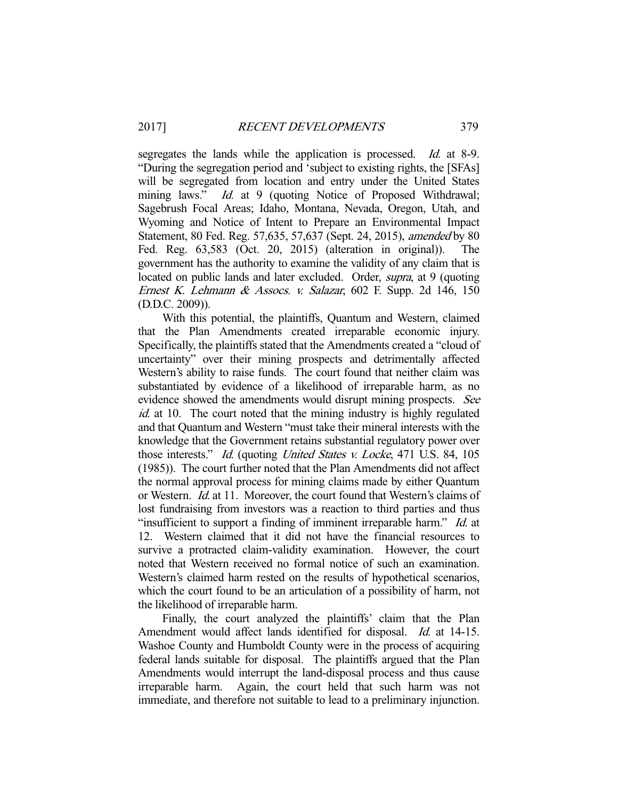segregates the lands while the application is processed. Id. at 8-9. "During the segregation period and 'subject to existing rights, the [SFAs] will be segregated from location and entry under the United States mining laws." *Id.* at 9 (quoting Notice of Proposed Withdrawal; Sagebrush Focal Areas; Idaho, Montana, Nevada, Oregon, Utah, and Wyoming and Notice of Intent to Prepare an Environmental Impact Statement, 80 Fed. Reg. 57,635, 57,637 (Sept. 24, 2015), amended by 80 Fed. Reg. 63,583 (Oct. 20, 2015) (alteration in original)). The government has the authority to examine the validity of any claim that is located on public lands and later excluded. Order, *supra*, at 9 (quoting Ernest K. Lehmann & Assocs. v. Salazar, 602 F. Supp. 2d 146, 150 (D.D.C. 2009)).

 With this potential, the plaintiffs, Quantum and Western, claimed that the Plan Amendments created irreparable economic injury. Specifically, the plaintiffs stated that the Amendments created a "cloud of uncertainty" over their mining prospects and detrimentally affected Western's ability to raise funds. The court found that neither claim was substantiated by evidence of a likelihood of irreparable harm, as no evidence showed the amendments would disrupt mining prospects. See id. at 10. The court noted that the mining industry is highly regulated and that Quantum and Western "must take their mineral interests with the knowledge that the Government retains substantial regulatory power over those interests." Id. (quoting United States v. Locke, 471 U.S. 84, 105 (1985)). The court further noted that the Plan Amendments did not affect the normal approval process for mining claims made by either Quantum or Western. *Id.* at 11. Moreover, the court found that Western's claims of lost fundraising from investors was a reaction to third parties and thus "insufficient to support a finding of imminent irreparable harm." Id. at 12. Western claimed that it did not have the financial resources to survive a protracted claim-validity examination. However, the court noted that Western received no formal notice of such an examination. Western's claimed harm rested on the results of hypothetical scenarios, which the court found to be an articulation of a possibility of harm, not the likelihood of irreparable harm.

 Finally, the court analyzed the plaintiffs' claim that the Plan Amendment would affect lands identified for disposal. *Id.* at 14-15. Washoe County and Humboldt County were in the process of acquiring federal lands suitable for disposal. The plaintiffs argued that the Plan Amendments would interrupt the land-disposal process and thus cause irreparable harm. Again, the court held that such harm was not immediate, and therefore not suitable to lead to a preliminary injunction.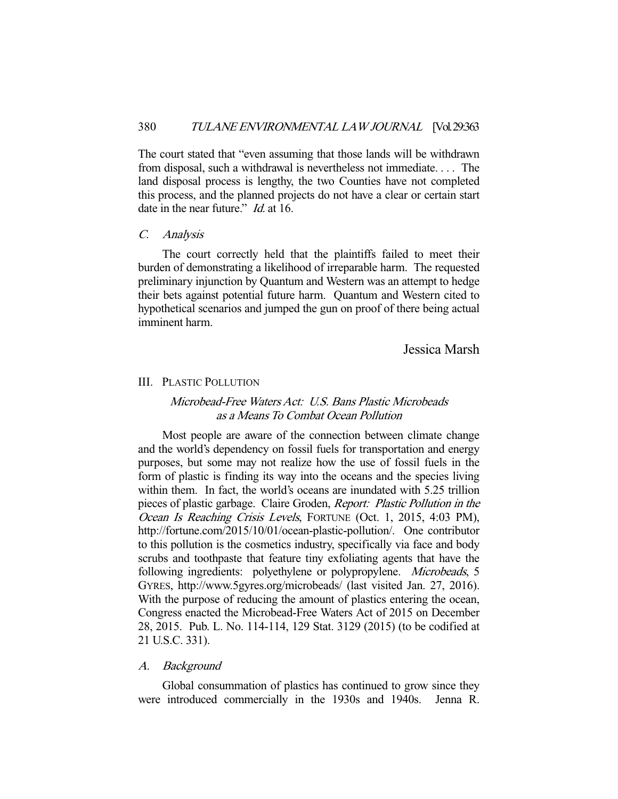The court stated that "even assuming that those lands will be withdrawn from disposal, such a withdrawal is nevertheless not immediate. . . . The land disposal process is lengthy, the two Counties have not completed this process, and the planned projects do not have a clear or certain start date in the near future." *Id.* at 16.

#### C. Analysis

 The court correctly held that the plaintiffs failed to meet their burden of demonstrating a likelihood of irreparable harm. The requested preliminary injunction by Quantum and Western was an attempt to hedge their bets against potential future harm. Quantum and Western cited to hypothetical scenarios and jumped the gun on proof of there being actual imminent harm.

Jessica Marsh

# III. PLASTIC POLLUTION

# Microbead-Free Waters Act: U.S. Bans Plastic Microbeads as a Means To Combat Ocean Pollution

 Most people are aware of the connection between climate change and the world's dependency on fossil fuels for transportation and energy purposes, but some may not realize how the use of fossil fuels in the form of plastic is finding its way into the oceans and the species living within them. In fact, the world's oceans are inundated with 5.25 trillion pieces of plastic garbage. Claire Groden, Report: Plastic Pollution in the Ocean Is Reaching Crisis Levels, FORTUNE (Oct. 1, 2015, 4:03 PM), http://fortune.com/2015/10/01/ocean-plastic-pollution/. One contributor to this pollution is the cosmetics industry, specifically via face and body scrubs and toothpaste that feature tiny exfoliating agents that have the following ingredients: polyethylene or polypropylene. Microbeads, 5 GYRES, http://www.5gyres.org/microbeads/ (last visited Jan. 27, 2016). With the purpose of reducing the amount of plastics entering the ocean, Congress enacted the Microbead-Free Waters Act of 2015 on December 28, 2015. Pub. L. No. 114-114, 129 Stat. 3129 (2015) (to be codified at 21 U.S.C. 331).

# A. Background

 Global consummation of plastics has continued to grow since they were introduced commercially in the 1930s and 1940s. Jenna R.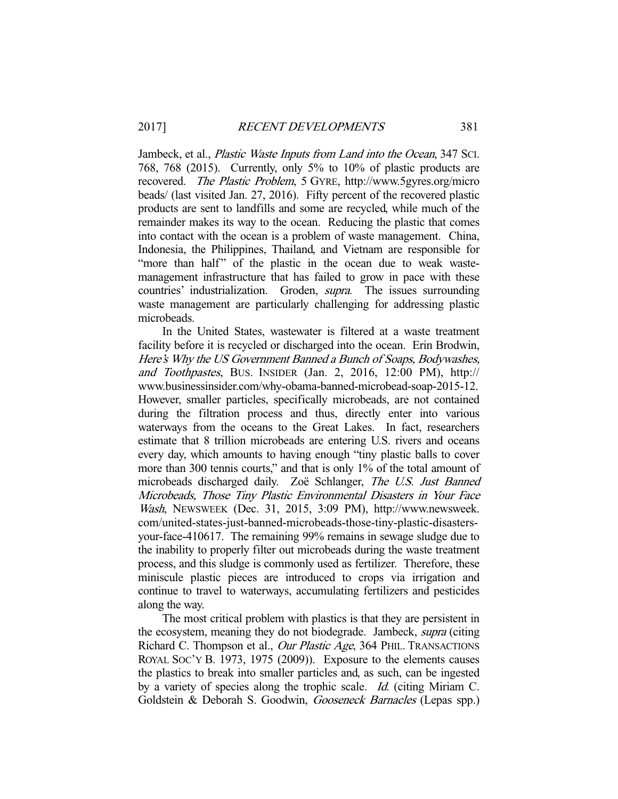Jambeck, et al., Plastic Waste Inputs from Land into the Ocean, 347 SCI. 768, 768 (2015). Currently, only 5% to 10% of plastic products are recovered. The Plastic Problem, 5 GYRE, http://www.5gyres.org/micro beads/ (last visited Jan. 27, 2016). Fifty percent of the recovered plastic products are sent to landfills and some are recycled, while much of the remainder makes its way to the ocean. Reducing the plastic that comes into contact with the ocean is a problem of waste management. China, Indonesia, the Philippines, Thailand, and Vietnam are responsible for "more than half" of the plastic in the ocean due to weak wastemanagement infrastructure that has failed to grow in pace with these countries' industrialization. Groden, supra. The issues surrounding waste management are particularly challenging for addressing plastic microbeads.

 In the United States, wastewater is filtered at a waste treatment facility before it is recycled or discharged into the ocean. Erin Brodwin, Here's Why the US Government Banned a Bunch of Soaps, Bodywashes, and Toothpastes, BUS. INSIDER (Jan. 2, 2016, 12:00 PM), http:// www.businessinsider.com/why-obama-banned-microbead-soap-2015-12. However, smaller particles, specifically microbeads, are not contained during the filtration process and thus, directly enter into various waterways from the oceans to the Great Lakes. In fact, researchers estimate that 8 trillion microbeads are entering U.S. rivers and oceans every day, which amounts to having enough "tiny plastic balls to cover more than 300 tennis courts," and that is only 1% of the total amount of microbeads discharged daily. Zoë Schlanger, The U.S. Just Banned Microbeads, Those Tiny Plastic Environmental Disasters in Your Face Wash, NEWSWEEK (Dec. 31, 2015, 3:09 PM), http://www.newsweek. com/united-states-just-banned-microbeads-those-tiny-plastic-disastersyour-face-410617. The remaining 99% remains in sewage sludge due to the inability to properly filter out microbeads during the waste treatment process, and this sludge is commonly used as fertilizer. Therefore, these miniscule plastic pieces are introduced to crops via irrigation and continue to travel to waterways, accumulating fertilizers and pesticides along the way.

 The most critical problem with plastics is that they are persistent in the ecosystem, meaning they do not biodegrade. Jambeck, *supra* (citing Richard C. Thompson et al., Our Plastic Age, 364 PHIL. TRANSACTIONS ROYAL SOC'Y B. 1973, 1975 (2009)). Exposure to the elements causes the plastics to break into smaller particles and, as such, can be ingested by a variety of species along the trophic scale. Id. (citing Miriam C. Goldstein & Deborah S. Goodwin, Gooseneck Barnacles (Lepas spp.)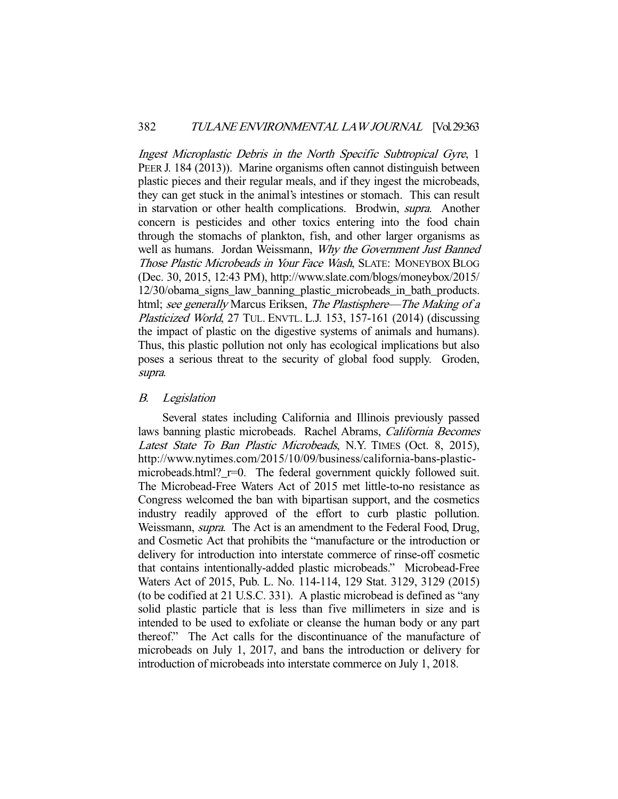Ingest Microplastic Debris in the North Specific Subtropical Gyre, 1 PEER J. 184 (2013)). Marine organisms often cannot distinguish between plastic pieces and their regular meals, and if they ingest the microbeads, they can get stuck in the animal's intestines or stomach. This can result in starvation or other health complications. Brodwin, supra. Another concern is pesticides and other toxics entering into the food chain through the stomachs of plankton, fish, and other larger organisms as well as humans. Jordan Weissmann, Why the Government Just Banned Those Plastic Microbeads in Your Face Wash, SLATE: MONEYBOX BLOG (Dec. 30, 2015, 12:43 PM), http://www.slate.com/blogs/moneybox/2015/ 12/30/obama\_signs\_law\_banning\_plastic\_microbeads\_in\_bath\_products. html; see generally Marcus Eriksen, The Plastisphere—The Making of a Plasticized World, 27 TUL. ENVTL. L.J. 153, 157-161 (2014) (discussing the impact of plastic on the digestive systems of animals and humans). Thus, this plastic pollution not only has ecological implications but also poses a serious threat to the security of global food supply. Groden, supra.

#### B. Legislation

 Several states including California and Illinois previously passed laws banning plastic microbeads. Rachel Abrams, California Becomes Latest State To Ban Plastic Microbeads, N.Y. TIMES (Oct. 8, 2015), http://www.nytimes.com/2015/10/09/business/california-bans-plasticmicrobeads.html?  $r=0$ . The federal government quickly followed suit. The Microbead-Free Waters Act of 2015 met little-to-no resistance as Congress welcomed the ban with bipartisan support, and the cosmetics industry readily approved of the effort to curb plastic pollution. Weissmann, *supra*. The Act is an amendment to the Federal Food, Drug, and Cosmetic Act that prohibits the "manufacture or the introduction or delivery for introduction into interstate commerce of rinse-off cosmetic that contains intentionally-added plastic microbeads." Microbead-Free Waters Act of 2015, Pub. L. No. 114-114, 129 Stat. 3129, 3129 (2015) (to be codified at 21 U.S.C. 331). A plastic microbead is defined as "any solid plastic particle that is less than five millimeters in size and is intended to be used to exfoliate or cleanse the human body or any part thereof." The Act calls for the discontinuance of the manufacture of microbeads on July 1, 2017, and bans the introduction or delivery for introduction of microbeads into interstate commerce on July 1, 2018.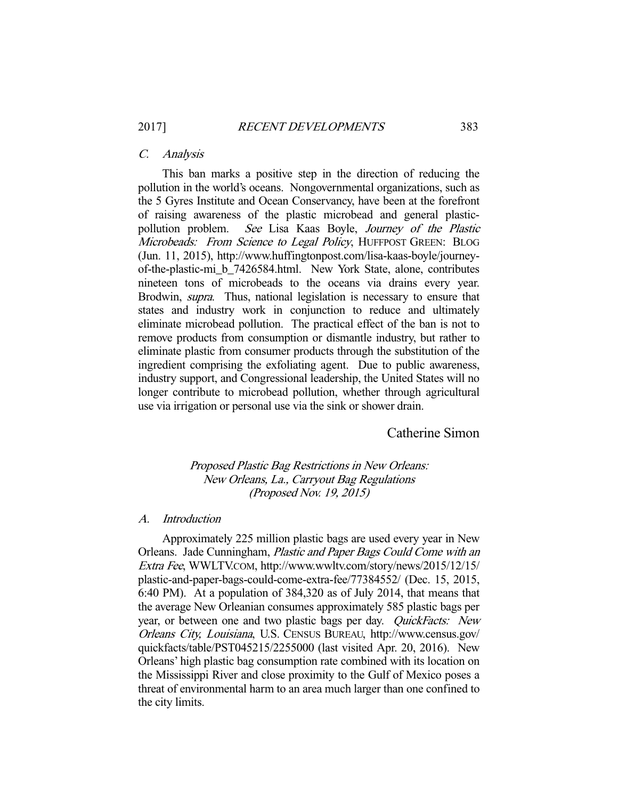### C. Analysis

 This ban marks a positive step in the direction of reducing the pollution in the world's oceans. Nongovernmental organizations, such as the 5 Gyres Institute and Ocean Conservancy, have been at the forefront of raising awareness of the plastic microbead and general plasticpollution problem. See Lisa Kaas Boyle, Journey of the Plastic Microbeads: From Science to Legal Policy, HUFFPOST GREEN: BLOG (Jun. 11, 2015), http://www.huffingtonpost.com/lisa-kaas-boyle/journeyof-the-plastic-mi\_b\_7426584.html. New York State, alone, contributes nineteen tons of microbeads to the oceans via drains every year. Brodwin, *supra*. Thus, national legislation is necessary to ensure that states and industry work in conjunction to reduce and ultimately eliminate microbead pollution. The practical effect of the ban is not to remove products from consumption or dismantle industry, but rather to eliminate plastic from consumer products through the substitution of the ingredient comprising the exfoliating agent. Due to public awareness, industry support, and Congressional leadership, the United States will no longer contribute to microbead pollution, whether through agricultural use via irrigation or personal use via the sink or shower drain.

Catherine Simon

Proposed Plastic Bag Restrictions in New Orleans: New Orleans, La., Carryout Bag Regulations (Proposed Nov. 19, 2015)

#### A. Introduction

 Approximately 225 million plastic bags are used every year in New Orleans. Jade Cunningham, Plastic and Paper Bags Could Come with an Extra Fee, WWLTV.COM, http://www.wwltv.com/story/news/2015/12/15/ plastic-and-paper-bags-could-come-extra-fee/77384552/ (Dec. 15, 2015, 6:40 PM). At a population of 384,320 as of July 2014, that means that the average New Orleanian consumes approximately 585 plastic bags per year, or between one and two plastic bags per day. QuickFacts: New Orleans City, Louisiana, U.S. CENSUS BUREAU, http://www.census.gov/ quickfacts/table/PST045215/2255000 (last visited Apr. 20, 2016). New Orleans' high plastic bag consumption rate combined with its location on the Mississippi River and close proximity to the Gulf of Mexico poses a threat of environmental harm to an area much larger than one confined to the city limits.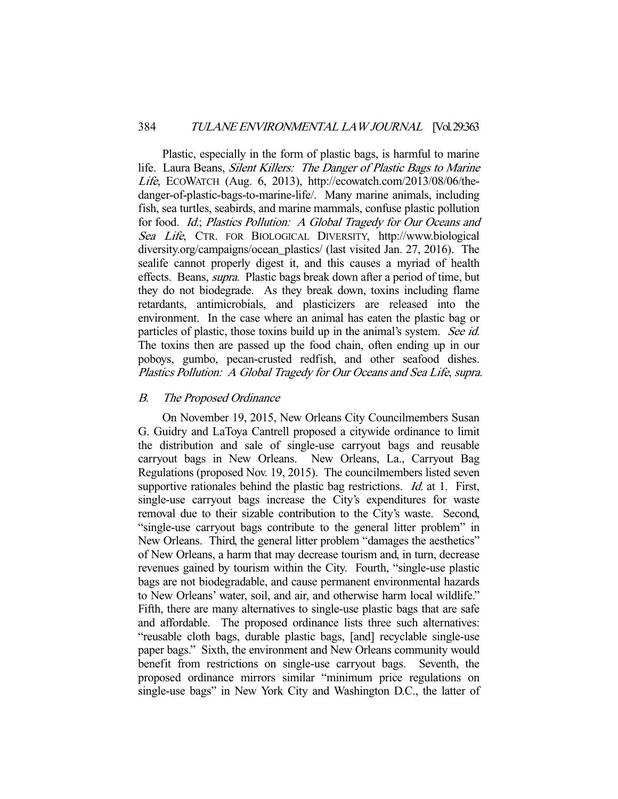Plastic, especially in the form of plastic bags, is harmful to marine life. Laura Beans, Silent Killers: The Danger of Plastic Bags to Marine Life, ECOWATCH (Aug. 6, 2013), http://ecowatch.com/2013/08/06/thedanger-of-plastic-bags-to-marine-life/. Many marine animals, including fish, sea turtles, seabirds, and marine mammals, confuse plastic pollution for food. Id.; Plastics Pollution: A Global Tragedy for Our Oceans and Sea Life, CTR. FOR BIOLOGICAL DIVERSITY, http://www.biological diversity.org/campaigns/ocean\_plastics/ (last visited Jan. 27, 2016). The sealife cannot properly digest it, and this causes a myriad of health effects. Beans, supra. Plastic bags break down after a period of time, but they do not biodegrade. As they break down, toxins including flame retardants, antimicrobials, and plasticizers are released into the environment. In the case where an animal has eaten the plastic bag or particles of plastic, those toxins build up in the animal's system. See id. The toxins then are passed up the food chain, often ending up in our poboys, gumbo, pecan-crusted redfish, and other seafood dishes. Plastics Pollution: A Global Tragedy for Our Oceans and Sea Life, supra.

## B. The Proposed Ordinance

 On November 19, 2015, New Orleans City Councilmembers Susan G. Guidry and LaToya Cantrell proposed a citywide ordinance to limit the distribution and sale of single-use carryout bags and reusable carryout bags in New Orleans. New Orleans, La., Carryout Bag Regulations (proposed Nov. 19, 2015). The councilmembers listed seven supportive rationales behind the plastic bag restrictions. *Id.* at 1. First, single-use carryout bags increase the City's expenditures for waste removal due to their sizable contribution to the City's waste. Second, "single-use carryout bags contribute to the general litter problem" in New Orleans. Third, the general litter problem "damages the aesthetics" of New Orleans, a harm that may decrease tourism and, in turn, decrease revenues gained by tourism within the City. Fourth, "single-use plastic bags are not biodegradable, and cause permanent environmental hazards to New Orleans' water, soil, and air, and otherwise harm local wildlife." Fifth, there are many alternatives to single-use plastic bags that are safe and affordable. The proposed ordinance lists three such alternatives: "reusable cloth bags, durable plastic bags, [and] recyclable single-use paper bags." Sixth, the environment and New Orleans community would benefit from restrictions on single-use carryout bags. Seventh, the proposed ordinance mirrors similar "minimum price regulations on single-use bags" in New York City and Washington D.C., the latter of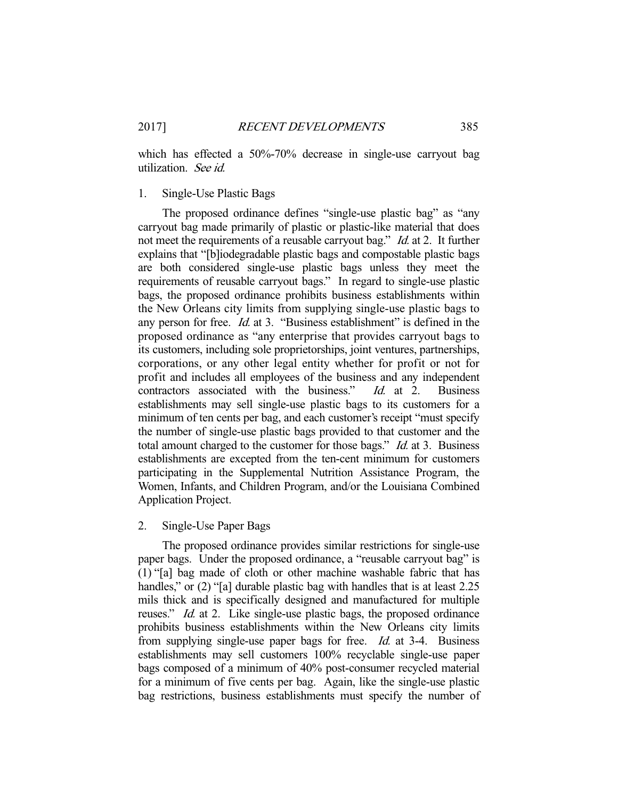which has effected a 50%-70% decrease in single-use carryout bag utilization. See id.

## 1. Single-Use Plastic Bags

 The proposed ordinance defines "single-use plastic bag" as "any carryout bag made primarily of plastic or plastic-like material that does not meet the requirements of a reusable carryout bag." Id. at 2. It further explains that "[b]iodegradable plastic bags and compostable plastic bags are both considered single-use plastic bags unless they meet the requirements of reusable carryout bags." In regard to single-use plastic bags, the proposed ordinance prohibits business establishments within the New Orleans city limits from supplying single-use plastic bags to any person for free. Id. at 3. "Business establishment" is defined in the proposed ordinance as "any enterprise that provides carryout bags to its customers, including sole proprietorships, joint ventures, partnerships, corporations, or any other legal entity whether for profit or not for profit and includes all employees of the business and any independent contractors associated with the business." Id. at 2. Business establishments may sell single-use plastic bags to its customers for a minimum of ten cents per bag, and each customer's receipt "must specify the number of single-use plastic bags provided to that customer and the total amount charged to the customer for those bags." Id. at 3. Business establishments are excepted from the ten-cent minimum for customers participating in the Supplemental Nutrition Assistance Program, the Women, Infants, and Children Program, and/or the Louisiana Combined Application Project.

#### 2. Single-Use Paper Bags

 The proposed ordinance provides similar restrictions for single-use paper bags. Under the proposed ordinance, a "reusable carryout bag" is (1) "[a] bag made of cloth or other machine washable fabric that has handles," or (2) "[a] durable plastic bag with handles that is at least 2.25 mils thick and is specifically designed and manufactured for multiple reuses." *Id.* at 2. Like single-use plastic bags, the proposed ordinance prohibits business establishments within the New Orleans city limits from supplying single-use paper bags for free. Id. at 3-4. Business establishments may sell customers 100% recyclable single-use paper bags composed of a minimum of 40% post-consumer recycled material for a minimum of five cents per bag. Again, like the single-use plastic bag restrictions, business establishments must specify the number of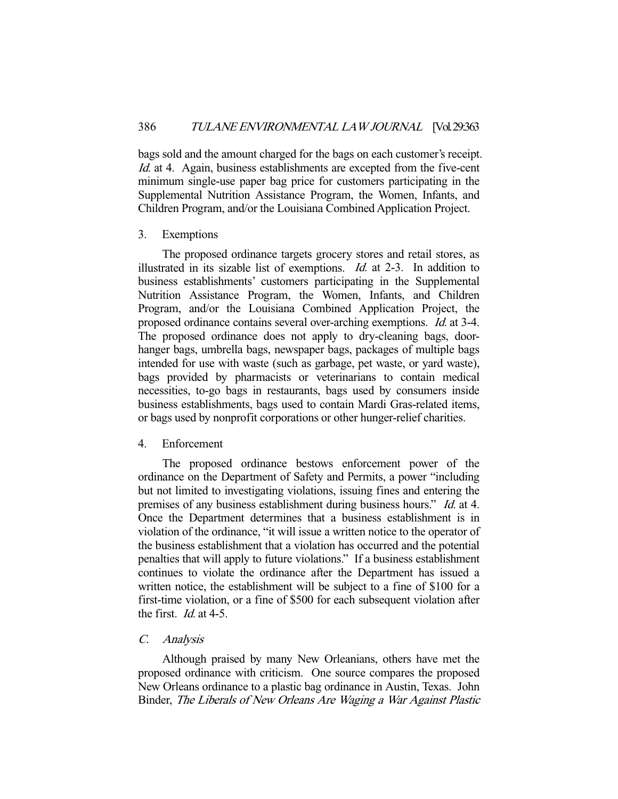bags sold and the amount charged for the bags on each customer's receipt. Id. at 4. Again, business establishments are excepted from the five-cent minimum single-use paper bag price for customers participating in the Supplemental Nutrition Assistance Program, the Women, Infants, and Children Program, and/or the Louisiana Combined Application Project.

#### 3. Exemptions

 The proposed ordinance targets grocery stores and retail stores, as illustrated in its sizable list of exemptions. Id. at 2-3. In addition to business establishments' customers participating in the Supplemental Nutrition Assistance Program, the Women, Infants, and Children Program, and/or the Louisiana Combined Application Project, the proposed ordinance contains several over-arching exemptions. Id. at 3-4. The proposed ordinance does not apply to dry-cleaning bags, doorhanger bags, umbrella bags, newspaper bags, packages of multiple bags intended for use with waste (such as garbage, pet waste, or yard waste), bags provided by pharmacists or veterinarians to contain medical necessities, to-go bags in restaurants, bags used by consumers inside business establishments, bags used to contain Mardi Gras-related items, or bags used by nonprofit corporations or other hunger-relief charities.

### 4. Enforcement

 The proposed ordinance bestows enforcement power of the ordinance on the Department of Safety and Permits, a power "including but not limited to investigating violations, issuing fines and entering the premises of any business establishment during business hours." *Id.* at 4. Once the Department determines that a business establishment is in violation of the ordinance, "it will issue a written notice to the operator of the business establishment that a violation has occurred and the potential penalties that will apply to future violations." If a business establishment continues to violate the ordinance after the Department has issued a written notice, the establishment will be subject to a fine of \$100 for a first-time violation, or a fine of \$500 for each subsequent violation after the first. *Id.* at 4-5.

# C. Analysis

 Although praised by many New Orleanians, others have met the proposed ordinance with criticism. One source compares the proposed New Orleans ordinance to a plastic bag ordinance in Austin, Texas. John Binder, The Liberals of New Orleans Are Waging a War Against Plastic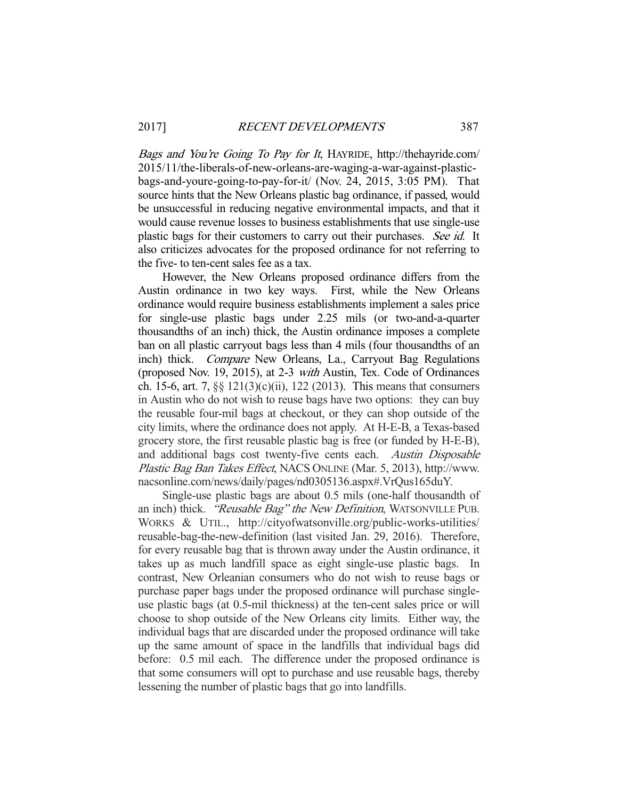Bags and You're Going To Pay for It, HAYRIDE, http://thehayride.com/ 2015/11/the-liberals-of-new-orleans-are-waging-a-war-against-plasticbags-and-youre-going-to-pay-for-it/ (Nov. 24, 2015, 3:05 PM). That source hints that the New Orleans plastic bag ordinance, if passed, would be unsuccessful in reducing negative environmental impacts, and that it would cause revenue losses to business establishments that use single-use plastic bags for their customers to carry out their purchases. See id. It also criticizes advocates for the proposed ordinance for not referring to the five- to ten-cent sales fee as a tax.

 However, the New Orleans proposed ordinance differs from the Austin ordinance in two key ways. First, while the New Orleans ordinance would require business establishments implement a sales price for single-use plastic bags under 2.25 mils (or two-and-a-quarter thousandths of an inch) thick, the Austin ordinance imposes a complete ban on all plastic carryout bags less than 4 mils (four thousandths of an inch) thick. Compare New Orleans, La., Carryout Bag Regulations (proposed Nov. 19, 2015), at 2-3 with Austin, Tex. Code of Ordinances ch. 15-6, art. 7, §§ 121(3)(c)(ii), 122 (2013). This means that consumers in Austin who do not wish to reuse bags have two options: they can buy the reusable four-mil bags at checkout, or they can shop outside of the city limits, where the ordinance does not apply. At H-E-B, a Texas-based grocery store, the first reusable plastic bag is free (or funded by H-E-B), and additional bags cost twenty-five cents each. Austin Disposable Plastic Bag Ban Takes Effect, NACS ONLINE (Mar. 5, 2013), http://www. nacsonline.com/news/daily/pages/nd0305136.aspx#.VrQus165duY.

 Single-use plastic bags are about 0.5 mils (one-half thousandth of an inch) thick. "Reusable Bag" the New Definition, WATSONVILLE PUB. WORKS & UTIL., http://cityofwatsonville.org/public-works-utilities/ reusable-bag-the-new-definition (last visited Jan. 29, 2016). Therefore, for every reusable bag that is thrown away under the Austin ordinance, it takes up as much landfill space as eight single-use plastic bags. In contrast, New Orleanian consumers who do not wish to reuse bags or purchase paper bags under the proposed ordinance will purchase singleuse plastic bags (at 0.5-mil thickness) at the ten-cent sales price or will choose to shop outside of the New Orleans city limits. Either way, the individual bags that are discarded under the proposed ordinance will take up the same amount of space in the landfills that individual bags did before: 0.5 mil each. The difference under the proposed ordinance is that some consumers will opt to purchase and use reusable bags, thereby lessening the number of plastic bags that go into landfills.